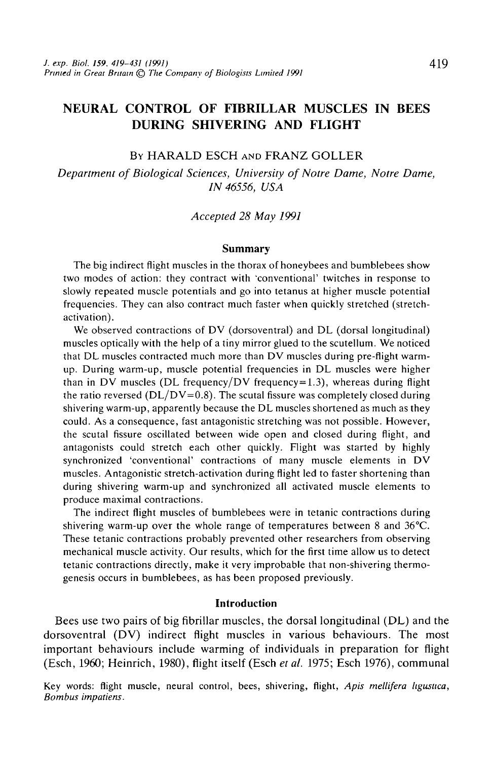# NEURAL CONTROL OF FIBRILLAR MUSCLES IN BEES DURING SHIVERING AND FLIGHT

BY HARALD ESCH AND FRANZ GOLLER

*Department of Biological Sciences, University of Notre Dame, Notre Dame, IN 46556, USA*

#### *Accepted 28 May 1991*

#### **Summary**

The big indirect flight muscles in the thorax of honeybees and bumblebees show two modes of action: they contract with 'conventional' twitches in response to slowly repeated muscle potentials and go into tetanus at higher muscle potential frequencies. They can also contract much faster when quickly stretched (stretchactivation).

We observed contractions of DV (dorsoventral) and DL (dorsal longitudinal) muscles optically with the help of a tiny mirror glued to the scutellum. We noticed that DL muscles contracted much more than DV muscles during pre-flight warmup. During warm-up, muscle potential frequencies in DL muscles were higher than in DV muscles (DL frequency/DV frequency=1.3), whereas during flight the ratio reversed ( $DL/DV=0.8$ ). The scutal fissure was completely closed during shivering warm-up, apparently because the DL muscles shortened as much as they could. As a consequence, fast antagonistic stretching was not possible. However, the scutal fissure oscillated between wide open and closed during flight, and antagonists could stretch each other quickly. Flight was started by highly synchronized 'conventional' contractions of many muscle elements in DV muscles. Antagonistic stretch-activation during flight led to faster shortening than during shivering warm-up and synchronized all activated muscle elements to produce maximal contractions.

The indirect flight muscles of bumblebees were in tetanic contractions during shivering warm-up over the whole range of temperatures between 8 and 36°C. These tetanic contractions probably prevented other researchers from observing mechanical muscle activity. Our results, which for the first time allow us to detect tetanic contractions directly, make it very improbable that non-shivering thermogenesis occurs in bumblebees, as has been proposed previously.

## **Introduction**

Bees use two pairs of big fibrillar muscles, the dorsal longitudinal (DL) and the dorsoventral (DV) indirect flight muscles in various behaviours. The most important behaviours include warming of individuals in preparation for flight (Esch, 1960; Heinrich, 1980), flight itself (Esch *etal.* 1975; Esch 1976), communal

Key words: flight muscle, neural control, bees, shivering, flight, *Apis mellifera hgusttca, Bombus impatiens.*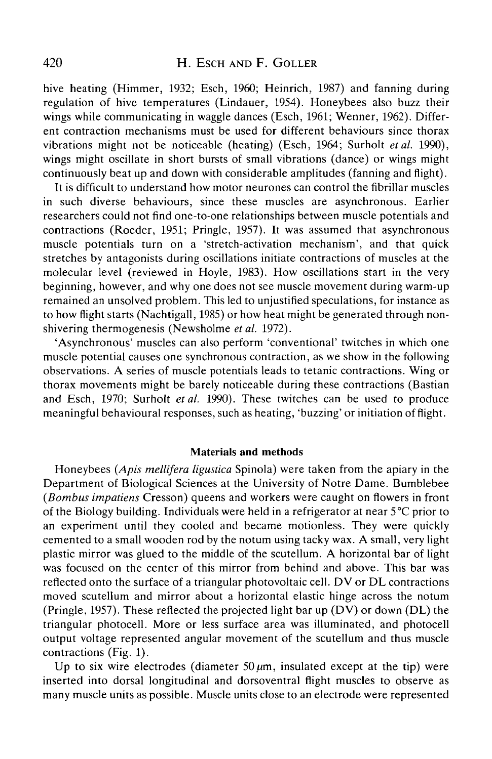hive heating (Himmer, 1932; Esch, 1960; Heinrich, 1987) and fanning during regulation of hive temperatures (Lindauer, 1954). Honeybees also buzz their wings while communicating in waggle dances (Esch, 1961; Wenner, 1962). Different contraction mechanisms must be used for different behaviours since thorax vibrations might not be noticeable (heating) (Esch, 1964; Surholt *et al.* 1990), wings might oscillate in short bursts of small vibrations (dance) or wings might continuously beat up and down with considerable amplitudes (fanning and flight).

It is difficult to understand how motor neurones can control the **fibrillar** muscles in such diverse behaviours, since these muscles are asynchronous. Earlier researchers could not find one-to-one relationships between muscle potentials and contractions (Roeder, 1951; Pringle, 1957). It was assumed that asynchronous muscle potentials turn on a 'stretch-activation mechanism', and that quick stretches by antagonists during oscillations initiate contractions of muscles at the molecular level (reviewed in Hoyle, 1983). How oscillations start in the very beginning, however, and why one does not see muscle movement during warm-up remained an unsolved problem. This led to unjustified speculations, for instance as to how flight starts (Nachtigall, 1985) or how heat might be generated through nonshivering thermogenesis (Newsholme *et al.* 1972).

'Asynchronous' muscles can also perform 'conventional' twitches in which one muscle potential causes one synchronous contraction, as we show in the following observations. A series of muscle potentials leads to tetanic contractions. Wing or thorax movements might be barely noticeable during these contractions (Bastian and Esch, 1970; Surholt *et al.* 1990). These twitches can be used to produce meaningful behavioural responses, such as heating, 'buzzing' or initiation of flight.

#### **Materials and methods**

Honeybees *(Apis mellifera ligustica* Spinola) were taken from the apiary in the Department of Biological Sciences at the University of Notre Dame. Bumblebee *(Bombus impatiens* Cresson) queens and workers were caught on flowers in front of the Biology building. Individuals were held in a refrigerator at near 5°C prior to an experiment until they cooled and became motionless. They were quickly cemented to a small wooden rod by the notum using tacky wax. A small, very light plastic mirror was glued to the middle of the scutellum. A horizontal bar of light was focused on the center of this mirror from behind and above. This bar was reflected onto the surface of a triangular photovoltaic cell. DV or DL contractions moved scutellum and mirror about a horizontal elastic hinge across the notum (Pringle, 1957). These reflected the projected light bar up (DV) or down (DL) the triangular photocell. More or less surface area was illuminated, and photocell output voltage represented angular movement of the scutellum and thus muscle contractions (Fig. 1).

Up to six wire electrodes (diameter  $50 \mu m$ , insulated except at the tip) were inserted into dorsal longitudinal and dorsoventral flight muscles to observe as many muscle units as possible. Muscle units close to an electrode were represented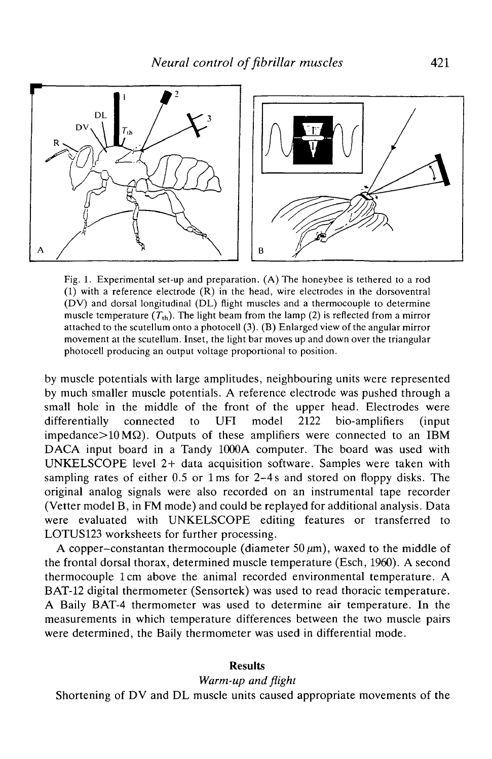

Fig. 1. Experimental set-up and preparation. (A) The honeybee is tethered to a rod (1) with a reference electrode (R) in the head, wire electrodes in the dorsoventral (DV) and dorsal longitudinal (DL) flight muscles and a thermocouple to determine muscle temperature  $(T_{th})$ . The light beam from the lamp (2) is reflected from a mirror attached to the scutellum onto a photocell (3). (B) Enlarged view of the angular mirror movement at the scutellum. Inset, the light bar moves up and down over the triangular photocell producing an output voltage proportional to position.

by muscle potentials with large amplitudes, neighbouring units were represented by much smaller muscle potentials. A reference electrode was pushed through a small hole in the middle of the front of the upper head. Electrodes were differentially connected to UFI model 2122 bio-amplifiers (input impedance $>10 \text{ M}\Omega$ ). Outputs of these amplifiers were connected to an IBM DACA input board in a Tandy 1000A computer. The board was used with UNKELSCOPE level 2+ data acquisition software. Samples were taken with sampling rates of either 0.5 or lms for 2-4s and stored on floppy disks. The original analog signals were also recorded on an instrumental tape recorder (Vetter model B, in FM mode) and could be replayed for additional analysis. Data were evaluated with UNKELSCOPE editing features or transferred to LOTUS123 worksheets for further processing.

A copper-constantan thermocouple (diameter  $50 \mu m$ ), waxed to the middle of the frontal dorsal thorax, determined muscle temperature (Esch, 1960). A second thermocouple 1 cm above the animal recorded environmental temperature. A BAT-12 digital thermometer (Sensortek) was used to read thoracic temperature. A Baily BAT-4 thermometer was used to determine air temperature. In the measurements in which temperature differences between the two muscle pairs were determined, the Baily thermometer was used in differential mode.

#### **Results**

## *Warm-up and flight*

Shortening of DV and DL muscle units caused appropriate movements of the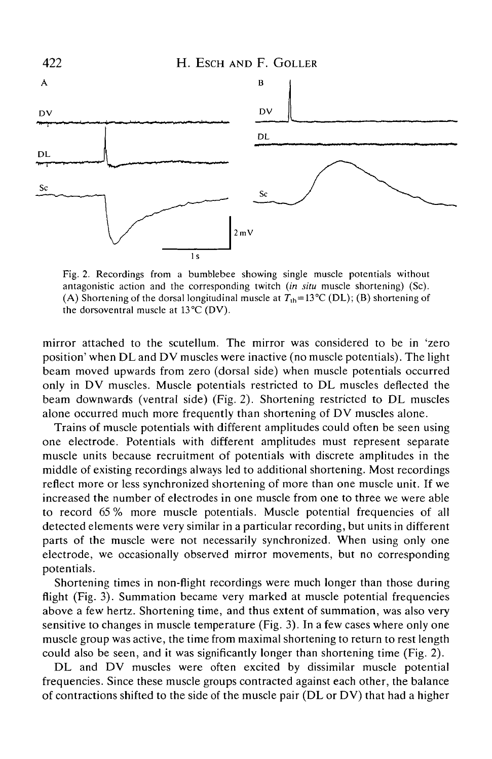

Fig. 2. Recordings from a bumblebee showing single muscle potentials without antagonistic action and the corresponding twitch *(in situ* muscle shortening) (Sc). (A) Shortening of the dorsal longitudinal muscle at  $T_{\text{th}}=13^{\circ}\text{C (DL)}$ ; (B) shortening of the dorsoventral muscle at 13°C (DV).

mirror attached to the scutellum. The mirror was considered to be in 'zero position' when DL and DV muscles were inactive (no muscle potentials). The light beam moved upwards from zero (dorsal side) when muscle potentials occurred only in DV muscles. Muscle potentials restricted to DL muscles deflected the beam downwards (ventral side) (Fig. 2). Shortening restricted to DL muscles alone occurred much more frequently than shortening of DV muscles alone.

Trains of muscle potentials with different amplitudes could often be seen using one electrode. Potentials with different amplitudes must represent separate muscle units because recruitment of potentials with discrete amplitudes in the middle of existing recordings always led to additional shortening. Most recordings reflect more or less synchronized shortening of more than one muscle unit. If we increased the number of electrodes in one muscle from one to three we were able to record 65 % more muscle potentials. Muscle potential frequencies of all detected elements were very similar in a particular recording, but units in different parts of the muscle were not necessarily synchronized. When using only one electrode, we occasionally observed mirror movements, but no corresponding potentials.

Shortening times in non-flight recordings were much longer than those during flight (Fig. 3). Summation became very marked at muscle potential frequencies above a few hertz. Shortening time, and thus extent of summation, was also very sensitive to changes in muscle temperature (Fig. 3). In a few cases where only one muscle group was active, the time from maximal shortening to return to rest length could also be seen, and it was significantly longer than shortening time (Fig. 2).

DL and DV muscles were often excited by dissimilar muscle potential frequencies. Since these muscle groups contracted against each other, the balance of contractions shifted to the side of the muscle pair (DL or DV) that had a higher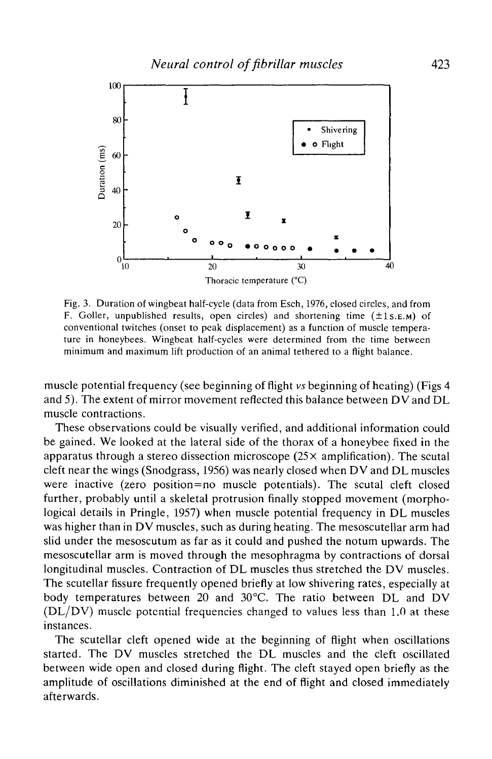

Fig. 3. Duration of wingbeat half-cycle (data from Esch, 1976, closed circles, and from F. Goller, unpublished results, open circles) and shortening time  $(\pm 1s.E.M)$  of conventional twitches (onset to peak displacement) as a function of muscle temperature in honeybees. Wingbeat half-cycles were determined from the time between minimum and maximum lift production of an animal tethered to a flight balance.

muscle potential frequency (see beginning of flight *vs* beginning of heating) (Figs 4 and 5). The extent of mirror movement reflected this balance between DV and DL muscle contractions.

These observations could be visually verified, and additional information could be gained. We looked at the lateral side of the thorax of a honeybee fixed in the apparatus through a stereo dissection microscope ( $25 \times$  amplification). The scutal cleft near the wings (Snodgrass, 1956) was nearly closed when DV and DL muscles were inactive (zero position=no muscle potentials). The scutal cleft closed further, probably until a skeletal protrusion finally stopped movement (morphological details in Pringle, 1957) when muscle potential frequency in DL muscles was higher than in DV muscles, such as during heating. The mesoscutellar arm had slid under the mesoscutum as far as it could and pushed the notum upwards. The mesoscutellar arm is moved through the mesophragma by contractions of dorsal longitudinal muscles. Contraction of DL muscles thus stretched the DV muscles. The scutellar fissure frequently opened briefly at low shivering rates, especially at body temperatures between 20 and 30°C. The ratio between DL and DV (DL/DV) muscle potential frequencies changed to values less than 1.0 at these instances.

The scutellar cleft opened wide at the beginning of flight when oscillations started. The DV muscles stretched the DL muscles and the cleft oscillated between wide open and closed during flight. The cleft stayed open briefly as the amplitude of oscillations diminished at the end of flight and closed immediately afterwards.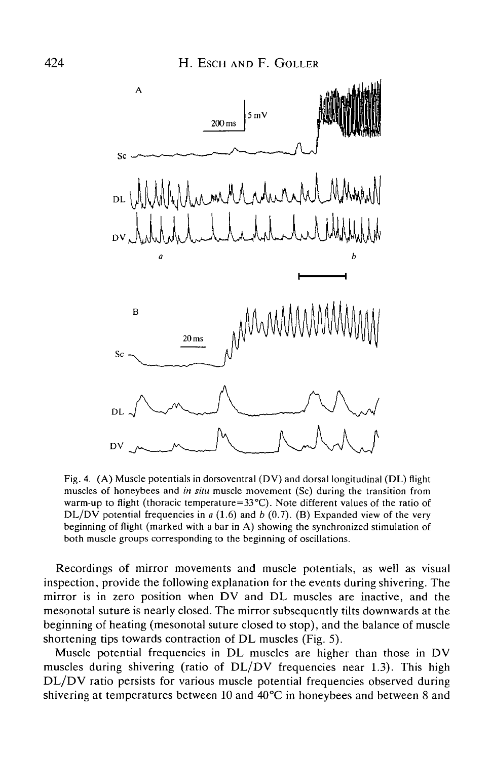

Fig. 4. (A) Muscle potentials in dorsoventral (DV) and dorsal longitudinal (DL) flight muscles of honeybees and *in situ* muscle movement (Sc) during the transition from warm-up to flight (thoracic temperature= $33^{\circ}$ C). Note different values of the ratio of DL/DV potential frequencies in *a* (1.6) and *b* (0.7). (B) Expanded view of the very beginning of flight (marked with a bar in A) showing the synchronized stimulation of both muscle groups corresponding to the beginning of oscillations.

Recordings of mirror movements and muscle potentials, as well as visual inspection, provide the following explanation for the events during shivering. The mirror is in zero position when DV and DL muscles are inactive, and the mesonotal suture is nearly closed. The mirror subsequently tilts downwards at the beginning of heating (mesonotal suture closed to stop), and the balance of muscle shortening tips towards contraction of DL muscles (Fig. 5).

Muscle potential frequencies in DL muscles are higher than those in DV muscles during shivering (ratio of  $DL/DV$  frequencies near 1.3). This high DL/DV ratio persists for various muscle potential frequencies observed during shivering at temperatures between 10 and 40°C in honeybees and between 8 and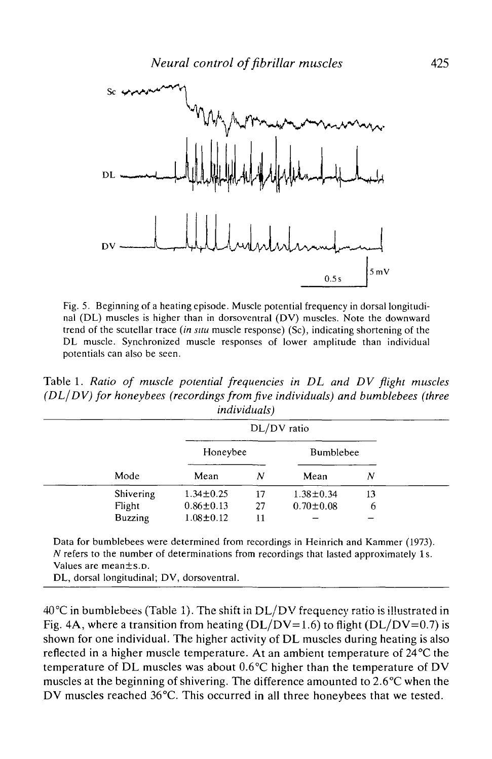

Fig. 5. Beginning of a heating episode. Muscle potential frequency in dorsal longitudinal (DL) muscles is higher than in dorsoventral (DV) muscles. Note the downward trend of the scutellar trace *(in situ* muscle response) (Sc), indicating shortening of the DL muscle. Synchronized muscle responses of lower amplitude than individual potentials can also be seen.

Table 1. *Ratio of muscle potential frequencies in DL and DV flight muscles (DL/DV) for honeybees (recordings from five individuals) and bumblebees (three individuals)*

|  | Mode           | DL/DV ratio     |    |                  |    |  |
|--|----------------|-----------------|----|------------------|----|--|
|  |                | Honeybee        |    | <b>Bumblebee</b> |    |  |
|  |                | Mean            | N  | Mean             | Ν  |  |
|  | Shivering      | $1.34 \pm 0.25$ | 17 | $1.38 \pm 0.34$  | 13 |  |
|  | Flight         | $0.86 \pm 0.13$ | 27 | $0.70 \pm 0.08$  | 6  |  |
|  | <b>Buzzing</b> | $1.08 \pm 0.12$ | 11 |                  |    |  |

Data for bumblebees were determined from recordings in Heinrich and Kammer (1973). *N* refers to the number of determinations from recordings that lasted approximately 1s. Values are mean±s.D.

DL, dorsal longitudinal; DV, dorsoventral.

 $40\textdegree C$  in bumblebees (Table 1). The shift in DL/DV frequency ratio is illustrated in Fig. 4A, where a transition from heating  $(DL/DV=1.6)$  to flight  $(DL/DV=0.7)$  is shown for one individual. The higher activity of DL muscles during heating is also reflected in a higher muscle temperature. At an ambient temperature of 24°C the temperature of DL muscles was about 0.6°C higher than the temperature of DV muscles at the beginning of shivering. The difference amounted to 2.6°C when the DV muscles reached 36°C. This occurred in all three honeybees that we tested.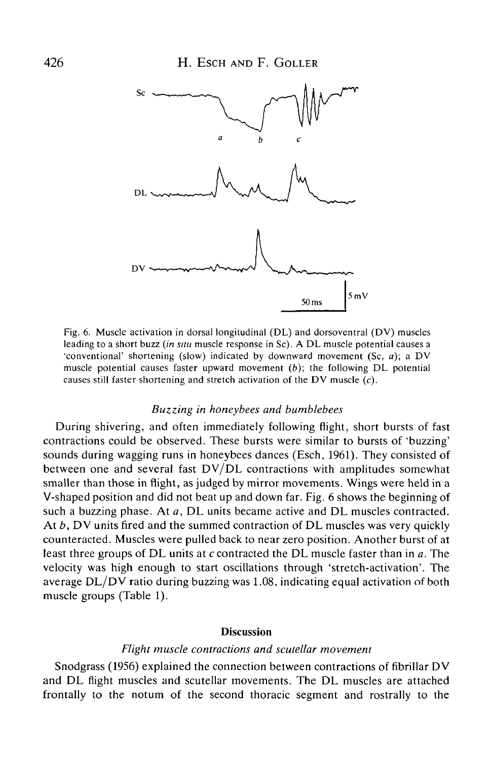

Fig. 6. Muscle activation in dorsal longitudinal (DL) and dorsoventral (DV) muscles leading to a short buzz *(in situ* muscle response in Sc). A DL muscle potential causes a 'conventional' shortening (slow) indicated by downward movement (Sc, *a);* a DV muscle potential causes faster upward movement *(b);* the following DL potential causes still faster shortening and stretch activation of the DV muscle (c).

#### *Buzzing in honeybees and bumblebees*

During shivering, and often immediately following flight, short bursts of fast contractions could be observed. These bursts were similar to bursts of 'buzzing' sounds during wagging runs in honeybees dances (Esch, 1961). They consisted of between one and several fast DV/DL contractions with amplitudes somewhat smaller than those in flight, as judged by mirror movements. Wings were held in a V-shaped position and did not beat up and down far. Fig. 6 shows the beginning of such a buzzing phase. At *a,* DL units became active and DL muscles contracted. At *b,* DV units fired and the summed contraction of DL muscles was very quickly counteracted. Muscles were pulled back to near zero position. Another burst of at least three groups of DL units at c contracted the DL muscle faster than in *a.* The velocity was high enough to start oscillations through 'stretch-activation'. The average DL/DV ratio during buzzing was 1.08, indicating equal activation of both muscle groups (Table 1).

#### **Discussion**

#### *Flight muscle contractions and scutellar movement*

Snodgrass (1956) explained the connection between contractions of fibrillar DV and DL flight muscles and scutellar movements. The DL muscles are attached frontally to the notum of the second thoracic segment and rostrally to the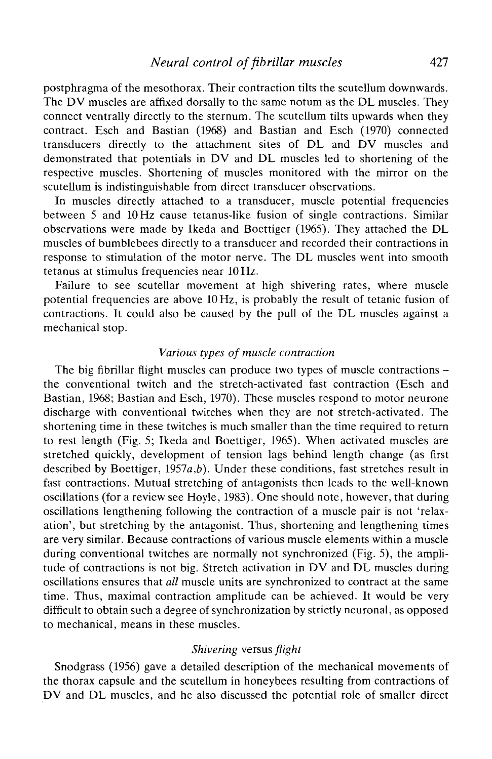postphragma of the mesothorax. Their contraction tilts the scutellum downwards. The DV muscles are affixed dorsally to the same notum as the DL muscles. They connect ventrally directly to the sternum. The scutellum tilts upwards when they contract. Esch and Bastian (1968) and Bastian and Esch (1970) connected transducers directly to the attachment sites of DL and DV muscles and demonstrated that potentials in DV and DL muscles led to shortening of the respective muscles. Shortening of muscles monitored with the mirror on the scutellum is indistinguishable from direct transducer observations.

In muscles directly attached to a transducer, muscle potential frequencies between 5 and 10 Hz cause tetanus-like fusion of single contractions. Similar observations were made by Ikeda and Boettiger (1965). They attached the DL muscles of bumblebees directly to a transducer and recorded their contractions in response to stimulation of the motor nerve. The DL muscles went into smooth tetanus at stimulus frequencies near 10 Hz.

Failure to see scutellar movement at high shivering rates, where muscle potential frequencies are above 10 Hz, is probably the result of tetanic fusion of contractions. It could also be caused by the pull of the DL muscles against a mechanical stop.

### *Various types of muscle contraction*

The big fibrillar flight muscles can produce two types of muscle contractions – the conventional twitch and the stretch-activated fast contraction (Esch and Bastian, 1968; Bastian and Esch, 1970). These muscles respond to motor neurone discharge with conventional twitches when they are not stretch-activated. The shortening time in these twitches is much smaller than the time required to return to rest length (Fig. 5; Ikeda and Boettiger, 1965). When activated muscles are stretched quickly, development of tension lags behind length change (as first described by Boettiger, 1957 $a,b$ ). Under these conditions, fast stretches result in fast contractions. Mutual stretching of antagonists then leads to the well-known oscillations (for a review see Hoyle, 1983). One should note, however, that during oscillations lengthening following the contraction of a muscle pair is not 'relaxation', but stretching by the antagonist. Thus, shortening and lengthening times are very similar. Because contractions of various muscle elements within a muscle during conventional twitches are normally not synchronized (Fig. 5), the amplitude of contractions is not big. Stretch activation in DV and DL muscles during oscillations ensures that *all* muscle units are synchronized to contract at the same time. Thus, maximal contraction amplitude can be achieved. It would be very difficult to obtain such a degree of synchronization by strictly neuronal, as opposed to mechanical, means in these muscles.

## *Shivering* versus *flight*

Snodgrass (1956) gave a detailed description of the mechanical movements of the thorax capsule and the scutellum in honeybees resulting from contractions of DV and DL muscles, and he also discussed the potential role of smaller direct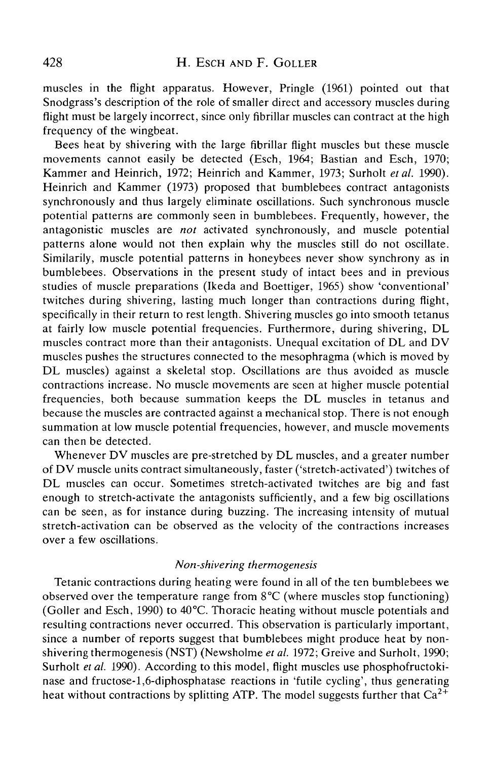muscles in the flight apparatus. However, Pringle (1961) pointed out that Snodgrass's description of the role of smaller direct and accessory muscles during flight must be largely incorrect, since only fibrillar muscles can contract at the high frequency of the wingbeat.

Bees heat by shivering with the large fibrillar flight muscles but these muscle movements cannot easily be detected (Esch, 1964; Bastian and Esch, 1970; Kammer and Heinrich, 1972; Heinrich and Kammer, 1973; Surholt *etal.* 1990). Heinrich and Kammer (1973) proposed that bumblebees contract antagonists synchronously and thus largely eliminate oscillations. Such synchronous muscle potential patterns are commonly seen in bumblebees. Frequently, however, the antagonistic muscles are *not* activated synchronously, and muscle potential patterns alone would not then explain why the muscles still do not oscillate. Similarity, muscle potential patterns in honeybees never show synchrony as in bumblebees. Observations in the present study of intact bees and in previous studies of muscle preparations (Ikeda and Boettiger, 1965) show 'conventional' twitches during shivering, lasting much longer than contractions during flight, specifically in their return to rest length. Shivering muscles go into smooth tetanus at fairly low muscle potential frequencies. Furthermore, during shivering, DL muscles contract more than their antagonists. Unequal excitation of DL and DV muscles pushes the structures connected to the mesophragma (which is moved by DL muscles) against a skeletal stop. Oscillations are thus avoided as muscle contractions increase. No muscle movements are seen at higher muscle potential frequencies, both because summation keeps the DL muscles in tetanus and because the muscles are contracted against a mechanical stop. There is not enough summation at low muscle potential frequencies, however, and muscle movements can then be detected.

Whenever DV muscles are pre-stretched by DL muscles, and a greater number of DV muscle units contract simultaneously, faster ('stretch-activated') twitches of DL muscles can occur. Sometimes stretch-activated twitches are big and fast enough to stretch-activate the antagonists sufficiently, and a few big oscillations can be seen, as for instance during buzzing. The increasing intensity of mutual stretch-activation can be observed as the velocity of the contractions increases over a few oscillations.

### *Non-shivering thermogenesis*

Tetanic contractions during heating were found in all of the ten bumblebees we observed over the temperature range from 8°C (where muscles stop functioning) (Goller and Esch, 1990) to 40°C. Thoracic heating without muscle potentials and resulting contractions never occurred. This observation is particularly important, since a number of reports suggest that bumblebees might produce heat by nonshivering thermogenesis (NST) (Newsholme *et al.* 1972; Greive and Surholt, 1990; Surholt *et al.* 1990). According to this model, flight muscles use phosphofructokinase and fructose-l,6-diphosphatase reactions in 'futile cycling', thus generating heat without contractions by splitting ATP. The model suggests further that  $Ca^{2+}$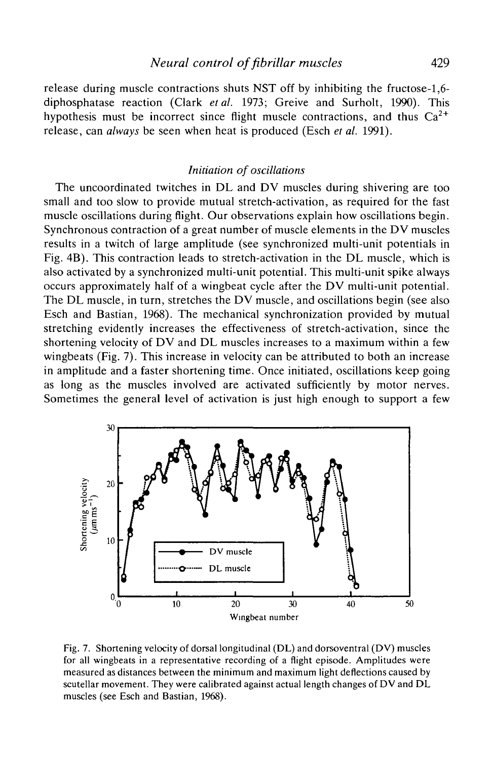# *Neural control of fibrillar muscles* 429

release during muscle contractions shuts NST off by inhibiting the fructose-1,6 diphosphatase reaction (Clark *etal.* 1973; Greive and Surholt, 1990). This hypothesis must be incorrect since flight muscle contractions, and thus  $Ca^{2+}$ release, can *always* be seen when heat is produced (Esch *et al.* 1991).

## *Initiation of oscillations*

The uncoordinated twitches in DL and DV muscles during shivering are too small and too slow to provide mutual stretch-activation, as required for the fast muscle oscillations during flight. Our observations explain how oscillations begin. Synchronous contraction of a great number of muscle elements in the DV muscles results in a twitch of large amplitude (see synchronized multi-unit potentials in Fig. 4B). This contraction leads to stretch-activation in the DL muscle, which is also activated by a synchronized multi-unit potential. This multi-unit spike always occurs approximately half of a wingbeat cycle after the DV multi-unit potential. The DL muscle, in turn, stretches the DV muscle, and oscillations begin (see also Esch and Bastian, 1968). The mechanical synchronization provided by mutual stretching evidently increases the effectiveness of stretch-activation, since the shortening velocity of DV and DL muscles increases to a maximum within a few wingbeats (Fig. 7). This increase in velocity can be attributed to both an increase in amplitude and a faster shortening time. Once initiated, oscillations keep going as long as the muscles involved are activated sufficiently by motor nerves. Sometimes the general level of activation is just high enough to support a few



Fig. 7. Shortening velocity of dorsal longitudinal (DL) and dorsoventral (DV) muscles for all wingbeats in a representative recording of a flight episode. Amplitudes were measured as distances between the minimum and maximum light deflections caused by scutellar movement. They were calibrated against actual length changes of DV and DL muscles (see Esch and Bastian, 1968).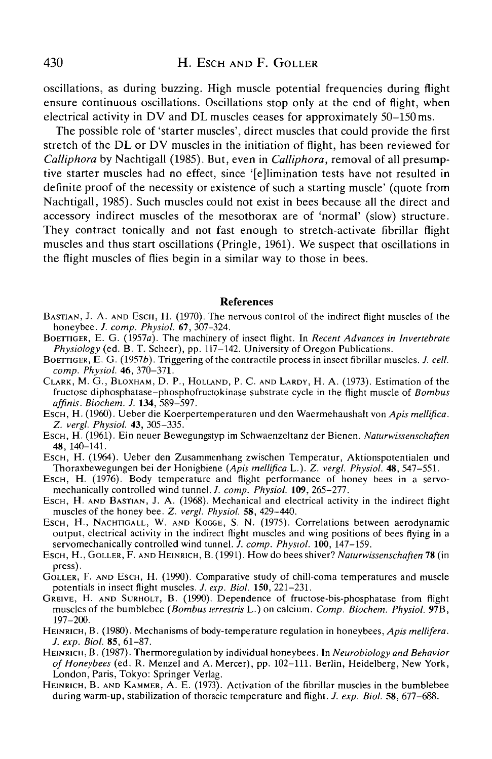## 430 H. ESCH AND F. GOLLER

oscillations, as during buzzing. High muscle potential frequencies during flight ensure continuous oscillations. Oscillations stop only at the end of flight, when electrical activity in DV and DL muscles ceases for approximately 50-150 ms.

The possible role of 'starter muscles', direct muscles that could provide the first stretch of the DL or DV muscles in the initiation of flight, has been reviewed for *Calliphora* by Nachtigall (1985). But, even in *Calliphora,* removal of all presumptive starter muscles had no effect, since '[elimination tests have not resulted in definite proof of the necessity or existence of such a starting muscle' (quote from Nachtigall, 1985). Such muscles could not exist in bees because all the direct and accessory indirect muscles of the mesothorax are of 'normal' (slow) structure. They contract tonically and not fast enough to stretch-activate fibrillar flight muscles and thus start oscillations (Pringle, 1961). We suspect that oscillations in the flight muscles of flies begin in a similar way to those in bees.

#### **References**

- BASTIAN, J. A. AND ESCH, H. (1970). The nervous control of the indirect flight muscles of the honeybee. J. comp. Physiol. 67, 307-324.
- Honey F. G. (1957*a*). The machinery of insect flight. In *Recent Advances in Invertebrate*<br>*Physiology* (ed. B. T. Scheer), pp. 117–142. University of Oregon Publications.
- *PHYSION, BOETTIGER, E. G. (1957b). Triggering of the contractile process in insect fibrillar muscles. J. cell.*  $comp. Physiol. 46, 370-371.$
- *comp. Physiol.* 46, 370-371. CLARK, M. G., BLOXHAM, D. P., HOLLAND, P. C. AND LARDY, H. A. (1973). Estimation of the fructose diphosphatase-phosphofructokinase substrate cycle in the flight muscle of *Bombus*
- *affinis. Biochem. J.* **134,** 589-597. ESCH, H. (1960). Ueber die Koerpertemperaturen und den Waermehaushalt von *Apis mellifica.*
- *Z. vergl. Physiol.* **43,** 305-335. ESCH, H. (1961). Ein neuer Bewegungstyp im Schwaenzeltanz der Bienen. *Naturwissenschaften*
- Esch, H. (1964). Ueber den Zusammenhang zwischen Temperatur, Aktionspotentialen und
- Thoraxbewegungen bei der Honigbiene (Apis mellifica L.). Z. vergl. Physiol. 48, 547–551. Esch, H. (1976). Body temperature and flight performance of honey bees in a servo-mechanically controlled wind tunnel. J. comp. Physi
- ESCH, H. AND BASTIAN, J. A. (1968). Mechanical and electrical activity in the indirect flight muscles of the honey bee. Z. vergl. Physiol. **58**, 429-440.
- Escн, H., NACHTIGALL, W. AND KOGGE, S. N. (1975). Correlations between aerodynamic output, electrical activity in the indirect flight muscles and wing positions of bees flying in a servomechanically controlled wind tunnel. J. comp. Physiol. 100, 147–159.
- ESCH, H., GOLLER, F. AND HEINRICH, B. (1991). How do bees shiver? *Naturwissenschaften* 78 (in
- press).<br>GOLLER, F. AND ESCH, H. (1990). Comparative study of chill-coma temperatures and muscle potentials in insect flight muscles. J. exp. Biol. 150, 221–231.
- GREIVE, H. AND SURHOLT, B. (1990). Dependence of fructose-bis-phosphatase from flight muscles of the bumblebee *(Bombus terrestris* L.) on calcium. *Comp. Biochem. Physiol.* **97B**, 197-200.<br>HEINRICH, B. (1980). Mechanisms of body-temperature regulation in honeybees, *Apis mellifera*.
- *J. exp. Biol.* 85, 61-87. HEINRICH, B. (1987). Thermoregulation by individual honeybees. In *Neurobiology and Behavior*
- *of Honeybees* (ed. R. Menzel and A. Mercer), pp. 102-111. Berlin, Heidelberg, New York, London, Paris, Tokyo: Springer Verlag. HEINRICH, B. AND KAMMER, A. E. (1973). Activation of the fibrillar muscles in the bumblebee
- during warm-up, stabilization of thoracic temperature and flight. *J. exp. Biol.* 58, 677-688.